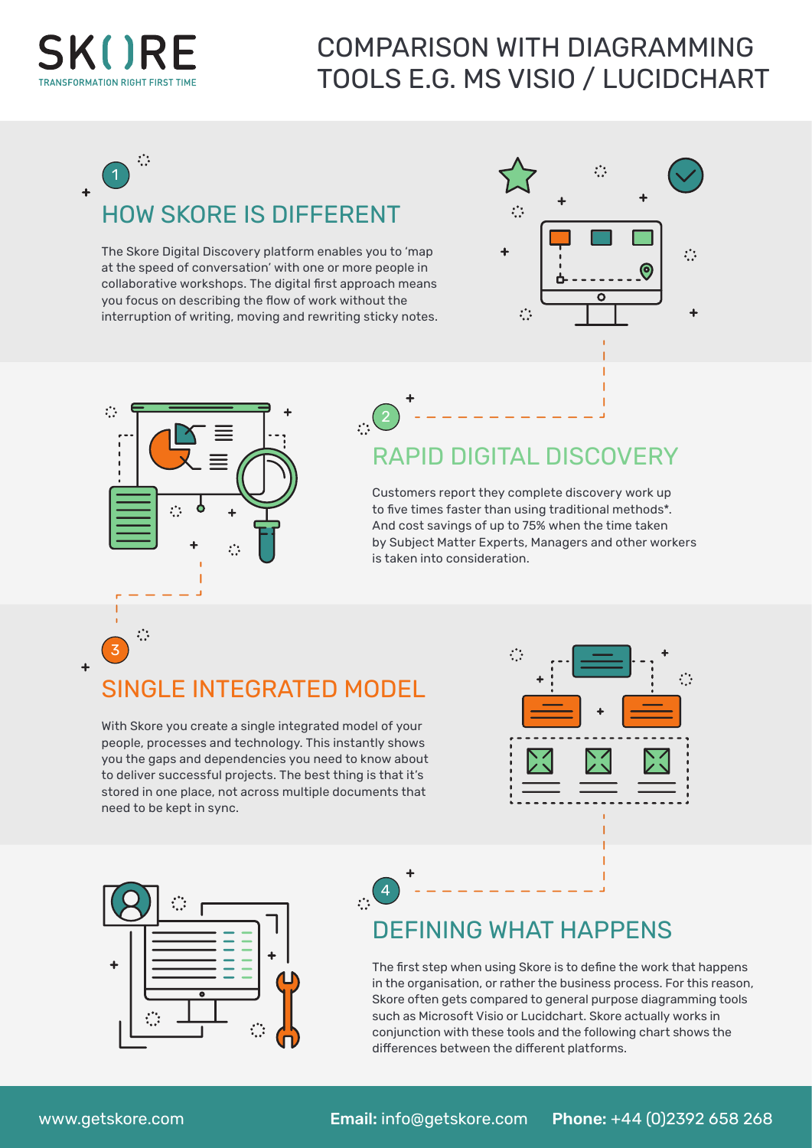

 $\ddot{\phantom{1}}$ 

## COMPARISON WITH DIAGRAMMING TOOLS E.G. MS VISIO / LUCIDCHART

 $\ddot{\cdot}$ 1

# HOW SKORE IS DIFFERENT

The Skore Digital Discovery platform enables you to 'map at the speed of conversation' with one or more people in collaborative workshops. The digital first approach means you focus on describing the flow of work without the interruption of writing, moving and rewriting sticky notes.

 $\cdot \cdot$ <sup>2</sup>

 $\sqrt{4}$ 





## RAPID DIGITAL DISCOVERY

Customers report they complete discovery work up to five times faster than using traditional methods\*. And cost savings of up to 75% when the time taken by Subject Matter Experts, Managers and other workers is taken into consideration.

#### SINGLE INTEGRATED MODEL

With Skore you create a single integrated model of your people, processes and technology. This instantly shows you the gaps and dependencies you need to know about to deliver successful projects. The best thing is that it's stored in one place, not across multiple documents that need to be kept in sync.





### DEFINING WHAT HAPPENS

The first step when using Skore is to define the work that happens in the organisation, or rather the business process. For this reason, Skore often gets compared to general purpose diagramming tools such as Microsoft Visio or Lucidchart. Skore actually works in conjunction with these tools and the following chart shows the differences between the different platforms.

3

 $\ddot{\cdot}$